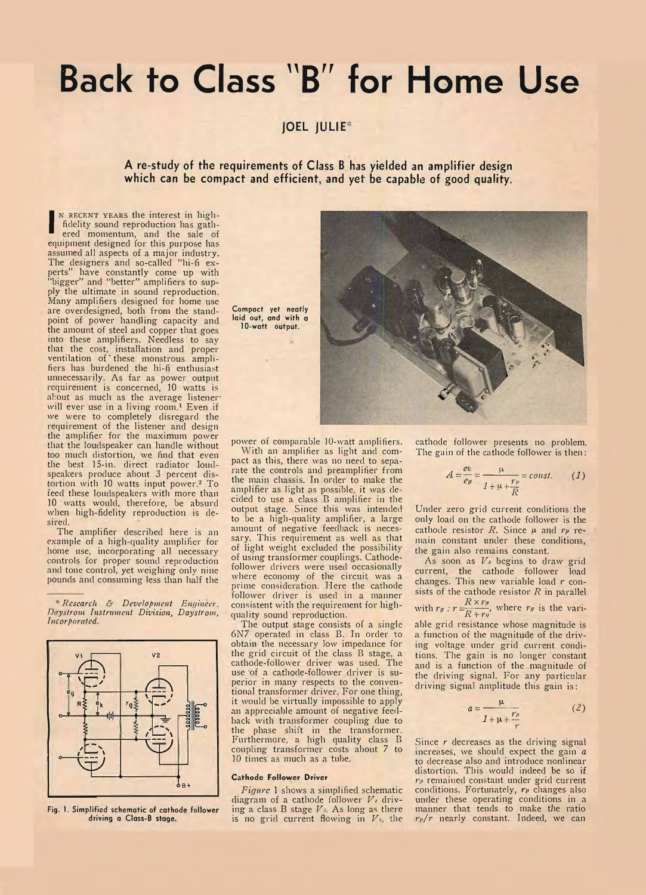## **Back to Class "B" for Home Use**

**JOEL JULIE\***

**A re-study of the requirements of Class B has yielded an amplifier design which can be compact and efficient, and yet be capable of good quality.**

**I** ered momentum, and the sale of N RECENT YEARS the interest in highfidelity sound reproduction has gathequipment designed for this purpose has assumed all aspects of a major industry. The designers and so-called " hi-fi experts" have constantly come up with "bigger" and " better" amplifiers to supply the ultimate in sound reproduction. Many amplifiers designed for home use are overdesigned, both from the standpoint of power handling capacity and the amount of steel and copper that goes into these amplifiers. Needless to say that the cost, installation and proper ventilation of'these monstrous amplifiers has burdened the hi-fi enthusiast unnecessarily. As far as power output requirement is concerned, 10 watts is about as much as the average listenerwill ever use in a living room.1 Even if we were to completely disregard the requirement of the listener and design the amplifier for the maximum power that the loudspeaker can handle without too much distortion, we find that even the best 15-in. direct radiator loudspeakers produce about 3 percent distortion with 10 watts input power.2 To feed these loudspeakers with more than 10 watts would, therefore, be absurd when high-fidelity reproduction is desired.

The amplifier described here is an example of a high-quality amplifier for home use, incorporating all necessary controls for proper sound reproduction and tone control, yet weighing only nine pounds and consuming less than half the

\* *Research & Development Engineer. Daystrom Instrument Division, Daystrom, Incorporated.*



**Fig. 1. Simplified schematic of cathode follower driving a Class-B stage.**

**Compact yet neatly laid out, and with a 10-watt output.**



power of comparable 10-watt amplifiers.

With an amplifier as light and compact as this, there was no need to separate the controls and preamplifier from the main chassis. In order to make the amplifier as light as possible, it was decided to use a class B amplifier in the output stage. Since this was intended to be a high-quality amplifier, a large amount of negative feedback is necessary. This requirement as well as that of light weight excluded the possibility of using transformer couplings. Cathodefollower drivers were used occasionally where economy of the circuit was a prime consideration. Here the cathode follower driver is used in a manner consistent with the requirement for highquality sound reproduction.

The output stage consists of a single 6N7 operated in class B. In order to obtain the necessary low impedance for the grid circuit of the class B stage, a cathode-follower driver was used. The use of a cathode-follower driver is superior in many respects to the conventional transformer driver. For one thing, it would be virtually impossible to apply an appreciable amount of negative feedback with transformer coupling due to the phase shift in the transformer. Furthermore, a high quality class B coupling- transformer costs about 7 to 10 times as much as a tube.

## **Cathode Follower Driver**

*Figure* 1 shows a simplified schematic diagram of a cathode follower *Vi* driving a class B stage  $V<sub>z</sub>$ . As long as there is no grid current flowing in  $V<sub>z</sub>$ , the cathode follower presents no problem. The gain of the cathode follower is then :

$$
A = \frac{ek}{eg} = \frac{\mu}{1 + \mu + \frac{rp}{R}} = const.
$$
 (1)

Under zero grid current conditions the only load on the cathode follower is the cathode resistor *R*. Since  $\mu$  and  $r_p$  remain constant under these conditions, the gain also remains constant.

As soon as  $V_1$  begins to draw grid current, the cathode follower load changes. This new variable load *r* consists of the cathode resistor *R* in parallel

with 
$$
r_g
$$
:  $r = \frac{R \times r_g}{R + r_g}$ , where  $r_g$  is the vari-

able grid resistance whose magnitude is a function of the magnitude of the driving voltage under grid current conditions. The gain is no longer constant and is a function of the magnitude of the driving signal. For any particular driving signal amplitude this gain is:

$$
a = \frac{\mu}{1 + \mu + \frac{r_p}{r}} \tag{2}
$$

Since *r* decreases as the driving signal increases, we should expect the gain *a* to decrease also and introduce nonlinear distortion. This would indeed be so if  $r<sub>e</sub>$  remained constant under grid current conditions. Fortunately, *re* changes also under these operating conditions in a manner that tends to make the ratio *rp/r* nearly constant. Indeed, we can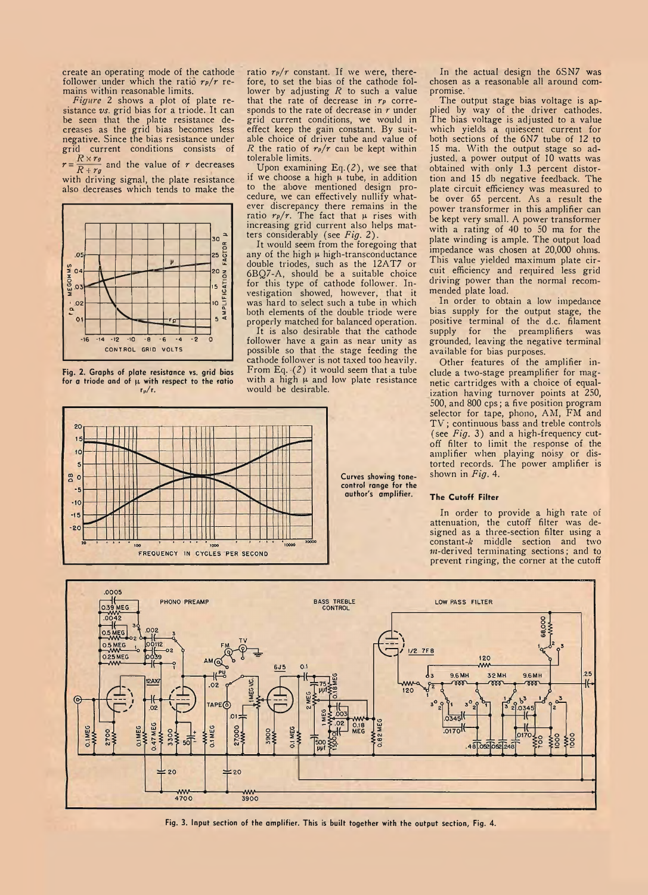create an operating mode of the cathode follower under which the ratio *rp/r* remains within reasonable limits.

*Figure* 2 shows a plot of plate resistance *vs.* grid bias for a triode. It can be seen that the plate resistance decreases as the grid bias becomes less negative. Since the bias resistance under grid current conditions consists of  $r = \frac{R \times r_{0}}{R + r_{0}}$  and the value of *r* decreases with driving signal, the plate resistance also decreases which tends to make the



**Fig. 2. Graphs of plate resistance vs. grid bias** for a triode and of  $\mu$  with respect to the ratio  $r_p/r$ .

ratio  $r_p/r$  constant. If we were, therefore, to set the bias of the cathode follower by adjusting *R* to such a value that the rate of decrease in *rp* corresponds to the rate of decrease in *r* under grid current conditions, we would in effect keep the gain constant. By suitable choice of driver tube and value of *R* the ratio of *rp/r* can be kept within tolerable limits.

Upon examining  $Eq. (2)$ , we see that if we choose a high  $\mu$  tube, in addition to the above mentioned design procedure, we can effectively nullify whatever discrepancy there remains in the ratio  $r_p/r$ . The fact that  $\mu$  rises with increasing grid current also helps matters considerably (see *Fig.* 2).

It would seem from the foregoing that any of the high  $\mu$  high-transconductance double triodes, such as the 12AT7 or 6BQ7-A, should be a suitable choice for this type of cathode follower. Investigation showed, however, that it was hard to select such a tube in which both elements of the double triode were properly matched for balanced operation.

It is also desirable that the cathode follower have a gain as near unity as possible so that the stage feeding the cathode follower is not taxed too heavily. From Eq.  $(2)$  it would seem that a tube with a high  $\mu$  and low plate resistance would be desirable.



In the actual design the 6SN7 was chosen as a reasonable all around compromise.

The output stage bias voltage is applied by way of the driver cathodes. The bias voltage is adjusted to a value which yields a quiescent current for both sections of the 6N7 tube of 12 to IS ma. With the output stage so adjusted, a power output of 10 watts was obtained with only 1.3 percent distortion and 15 db negative feedback. The plate circuit efficiency was measured to be over 65 percent. As a result the power transformer in this amplifier can be kept very small. A power transformer with a rating of 40 to 50 ma for the plate winding is ample. The output load impedance was chosen at 20,000 ohms. This value yielded maximum plate circuit efficiency and required less grid driving power than the normal recommended plate load.

In order to obtain a low impedance bias supply for the output stage, the positive terminal of the d.c. filament supply for the preamplifiers was grounded, leaving the negative terminal available for bias purposes.

Other features of the amplifier include a two-stage preamplifier for magnetic cartridges with a choice of equalization having turnover points at 250, 500, and 800 cps; a five position program selector for tape, phono, AM, FM and TV; continuous bass and treble controls (see *Fig.* 3) and a high-frequency cutoff filter to limit the response of the amplifier when playing noisy or distorted records. The power amplifier is shown in *Fig.* 4.

## **The Cutoff Filter**

In order to provide a high rate of attenuation, the cutoff filter was designed as a three-section filter using a constant- $k$  middle section and two  $m$ -derived terminating sections; and to prevent ringing, the corner at the cutoff



**Fig. 3. Input section of the amplifier. This is built together with the output section. Fig. 4.**